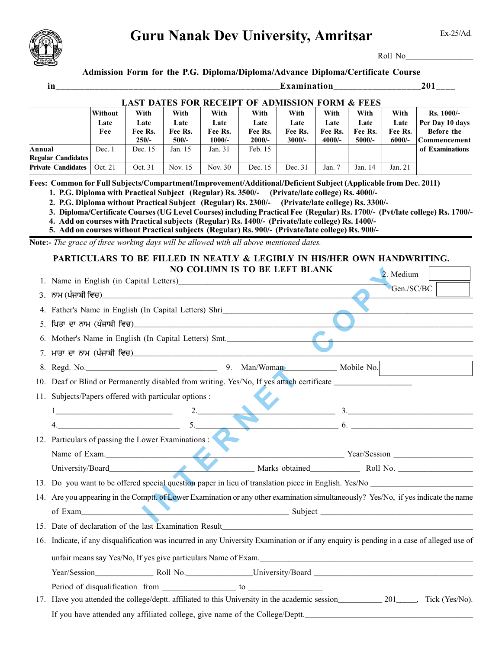

## **Guru Nanak Dev University, Amritsar**

Ex-25/Ad.

Roll No\_\_\_\_\_\_\_\_\_\_\_\_\_\_\_\_

## **Admission Form for the P.G. Diploma/Diploma/Advance Diploma/Certificate Course**

| in                                                                                                              |                                                                                                                                                                                                                                                                                                                                                                                                            |                                                            |                         |                                      |                         | Examination________________ |                         |                         |                         | 201                                                                                                                                  |
|-----------------------------------------------------------------------------------------------------------------|------------------------------------------------------------------------------------------------------------------------------------------------------------------------------------------------------------------------------------------------------------------------------------------------------------------------------------------------------------------------------------------------------------|------------------------------------------------------------|-------------------------|--------------------------------------|-------------------------|-----------------------------|-------------------------|-------------------------|-------------------------|--------------------------------------------------------------------------------------------------------------------------------------|
|                                                                                                                 |                                                                                                                                                                                                                                                                                                                                                                                                            | <b>LAST DATES FOR RECEIPT OF ADMISSION FORM &amp; FEES</b> |                         |                                      |                         |                             |                         |                         |                         |                                                                                                                                      |
|                                                                                                                 | Without<br>Late<br>Fee                                                                                                                                                                                                                                                                                                                                                                                     | With<br>Late<br>Fee Rs.                                    | With<br>Late<br>Fee Rs. | With<br>Late<br>Fee Rs.              | With<br>Late<br>Fee Rs. | With<br>Late<br>Fee Rs.     | With<br>Late<br>Fee Rs. | With<br>Late<br>Fee Rs. | With<br>Late<br>Fee Rs. | Rs. 1000/-<br>Per Day 10 days<br>Before the                                                                                          |
| Annual<br><b>Regular Candidates</b>                                                                             | Dec. 1                                                                                                                                                                                                                                                                                                                                                                                                     | $250/-$<br>Dec. 15                                         | $500/-$<br>Jan. 15      | $1000/-$<br>Jan. 31                  | $2000/-$<br>Feb. 15     | $3000/-$                    | 4000/-                  | 5000/-                  | $6000/-$                | Commencement<br>of Examinations                                                                                                      |
| <b>Private Candidates</b>                                                                                       | Oct. 21                                                                                                                                                                                                                                                                                                                                                                                                    | Oct. 31                                                    | Nov. 15                 | Nov. 30                              | Dec. 15                 | Dec. 31                     | Jan. 7                  | Jan. 14                 | Jan. 21                 |                                                                                                                                      |
| Fees: Common for Full Subjects/Compartment/Improvement/Additional/Deficient Subject (Applicable from Dec. 2011) | 1. P.G. Diploma with Practical Subject (Regular) Rs. 3500/- (Private/late college) Rs. 4000/-<br>2. P.G. Diploma without Practical Subject (Regular) Rs. 2300/- (Private/late college) Rs. 3300/-<br>4. Add on courses with Practical subjects (Regular) Rs. 1400/- (Private/late college) Rs. 1400/-<br>5. Add on courses without Practical subjects (Regular) Rs. 900/- (Private/late college) Rs. 900/- |                                                            |                         |                                      |                         |                             |                         |                         |                         | 3. Diploma/Certificate Courses (UG Level Courses) including Practical Fee (Regular) Rs. 1700/- (Pvt/late college) Rs. 1700/-         |
| Note:- The grace of three working days will be allowed with all above mentioned dates.                          |                                                                                                                                                                                                                                                                                                                                                                                                            |                                                            |                         |                                      |                         |                             |                         |                         |                         |                                                                                                                                      |
|                                                                                                                 | PARTICULARS TO BE FILLED IN NEATLY & LEGIBLY IN HIS/HER OWN HANDWRITING.                                                                                                                                                                                                                                                                                                                                   |                                                            |                         |                                      |                         |                             |                         |                         |                         |                                                                                                                                      |
|                                                                                                                 | 1. Name in English (in Capital Letters) Manual Manual Manual Manual Manual Manual Manual Manual Manual Manual                                                                                                                                                                                                                                                                                              |                                                            |                         | <b>NO COLUMN IS TO BE LEFT BLANK</b> |                         |                             |                         |                         | 2. Medium               |                                                                                                                                      |
|                                                                                                                 |                                                                                                                                                                                                                                                                                                                                                                                                            |                                                            |                         |                                      |                         |                             |                         |                         | Gen./SC/BC              |                                                                                                                                      |
|                                                                                                                 | 4. Father's Name in English (In Capital Letters) Shri                                                                                                                                                                                                                                                                                                                                                      |                                                            |                         |                                      |                         |                             |                         |                         |                         |                                                                                                                                      |
|                                                                                                                 |                                                                                                                                                                                                                                                                                                                                                                                                            |                                                            |                         |                                      |                         |                             |                         |                         |                         |                                                                                                                                      |
|                                                                                                                 | 6. Mother's Name in English (In Capital Letters) Smt.                                                                                                                                                                                                                                                                                                                                                      |                                                            |                         |                                      |                         |                             |                         |                         |                         |                                                                                                                                      |
|                                                                                                                 |                                                                                                                                                                                                                                                                                                                                                                                                            |                                                            |                         |                                      |                         |                             |                         |                         |                         |                                                                                                                                      |
|                                                                                                                 | 8. Regd. No. Man/Woman Mobile No.                                                                                                                                                                                                                                                                                                                                                                          |                                                            |                         |                                      |                         |                             |                         |                         |                         |                                                                                                                                      |
|                                                                                                                 |                                                                                                                                                                                                                                                                                                                                                                                                            |                                                            |                         |                                      |                         |                             |                         |                         |                         |                                                                                                                                      |
| 11. Subjects/Papers offered with particular options :                                                           |                                                                                                                                                                                                                                                                                                                                                                                                            |                                                            |                         |                                      |                         |                             |                         |                         |                         |                                                                                                                                      |
|                                                                                                                 | $\begin{tabular}{ c c c c } \hline \quad \quad & \quad \quad & \quad \quad & \quad \quad \\ \hline \end{tabular}$                                                                                                                                                                                                                                                                                          |                                                            |                         | $\frac{2}{\sqrt{2}}$                 |                         |                             |                         |                         |                         | 3.                                                                                                                                   |
|                                                                                                                 | 4.                                                                                                                                                                                                                                                                                                                                                                                                         |                                                            |                         | 5.                                   |                         |                             |                         |                         |                         | 6.                                                                                                                                   |
| 12. Particulars of passing the Lower Examinations :                                                             |                                                                                                                                                                                                                                                                                                                                                                                                            |                                                            |                         |                                      |                         |                             |                         |                         |                         |                                                                                                                                      |
|                                                                                                                 |                                                                                                                                                                                                                                                                                                                                                                                                            |                                                            |                         | $\blacktriangledown$                 |                         |                             |                         |                         |                         | Name of Exam. Vear/Session Vear/Session Vear/Session Vear/Session                                                                    |
|                                                                                                                 | University/Board                                                                                                                                                                                                                                                                                                                                                                                           |                                                            |                         |                                      |                         |                             |                         |                         |                         | Marks obtained<br>Roll No.                                                                                                           |
|                                                                                                                 |                                                                                                                                                                                                                                                                                                                                                                                                            |                                                            |                         |                                      |                         |                             |                         |                         |                         | 13. Do you want to be offered special question paper in lieu of translation piece in English. Yes/No                                 |
|                                                                                                                 |                                                                                                                                                                                                                                                                                                                                                                                                            |                                                            |                         |                                      |                         |                             |                         |                         |                         | 14. Are you appearing in the Comptt. of Lower Examination or any other examination simultaneously? Yes/No, if yes indicate the name  |
|                                                                                                                 |                                                                                                                                                                                                                                                                                                                                                                                                            |                                                            |                         |                                      |                         |                             |                         |                         |                         | of Exam                                                                                                                              |
|                                                                                                                 |                                                                                                                                                                                                                                                                                                                                                                                                            |                                                            |                         |                                      |                         |                             |                         |                         |                         |                                                                                                                                      |
|                                                                                                                 | 16. Indicate, if any disqualification was incurred in any University Examination or if any enquiry is pending in a case of alleged use of                                                                                                                                                                                                                                                                  |                                                            |                         |                                      |                         |                             |                         |                         |                         |                                                                                                                                      |
|                                                                                                                 |                                                                                                                                                                                                                                                                                                                                                                                                            |                                                            |                         |                                      |                         |                             |                         |                         |                         |                                                                                                                                      |
|                                                                                                                 |                                                                                                                                                                                                                                                                                                                                                                                                            |                                                            |                         |                                      |                         |                             |                         |                         |                         |                                                                                                                                      |
|                                                                                                                 |                                                                                                                                                                                                                                                                                                                                                                                                            |                                                            |                         |                                      |                         |                             |                         |                         |                         | 17. Have you attended the college/deptt. affiliated to this University in the academic session_____________ 201_____, Tick (Yes/No). |
|                                                                                                                 |                                                                                                                                                                                                                                                                                                                                                                                                            |                                                            |                         |                                      |                         |                             |                         |                         |                         | If you have attended any affiliated college, give name of the College/Deptt.                                                         |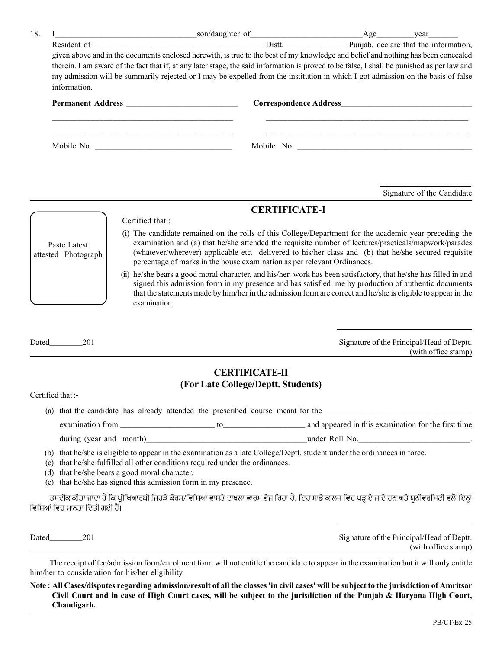| 18. |                                                                                                                                                                                                  |                                                                                                                          |                                                                                                                                                                                                                                                                                                                                                                                                                                                                                                                                                                                                                                                                                                                                       |  |  |  |  |  |
|-----|--------------------------------------------------------------------------------------------------------------------------------------------------------------------------------------------------|--------------------------------------------------------------------------------------------------------------------------|---------------------------------------------------------------------------------------------------------------------------------------------------------------------------------------------------------------------------------------------------------------------------------------------------------------------------------------------------------------------------------------------------------------------------------------------------------------------------------------------------------------------------------------------------------------------------------------------------------------------------------------------------------------------------------------------------------------------------------------|--|--|--|--|--|
|     |                                                                                                                                                                                                  |                                                                                                                          | Resident of Punjab, declare that the information,                                                                                                                                                                                                                                                                                                                                                                                                                                                                                                                                                                                                                                                                                     |  |  |  |  |  |
|     | given above and in the documents enclosed herewith, is true to the best of my knowledge and belief and nothing has been concealed                                                                |                                                                                                                          |                                                                                                                                                                                                                                                                                                                                                                                                                                                                                                                                                                                                                                                                                                                                       |  |  |  |  |  |
|     | therein. I am aware of the fact that if, at any later stage, the said information is proved to be false, I shall be punished as per law and                                                      |                                                                                                                          |                                                                                                                                                                                                                                                                                                                                                                                                                                                                                                                                                                                                                                                                                                                                       |  |  |  |  |  |
|     | information.                                                                                                                                                                                     |                                                                                                                          | my admission will be summarily rejected or I may be expelled from the institution in which I got admission on the basis of false                                                                                                                                                                                                                                                                                                                                                                                                                                                                                                                                                                                                      |  |  |  |  |  |
|     |                                                                                                                                                                                                  |                                                                                                                          |                                                                                                                                                                                                                                                                                                                                                                                                                                                                                                                                                                                                                                                                                                                                       |  |  |  |  |  |
|     |                                                                                                                                                                                                  |                                                                                                                          |                                                                                                                                                                                                                                                                                                                                                                                                                                                                                                                                                                                                                                                                                                                                       |  |  |  |  |  |
|     |                                                                                                                                                                                                  |                                                                                                                          |                                                                                                                                                                                                                                                                                                                                                                                                                                                                                                                                                                                                                                                                                                                                       |  |  |  |  |  |
|     |                                                                                                                                                                                                  |                                                                                                                          | Signature of the Candidate                                                                                                                                                                                                                                                                                                                                                                                                                                                                                                                                                                                                                                                                                                            |  |  |  |  |  |
|     |                                                                                                                                                                                                  |                                                                                                                          |                                                                                                                                                                                                                                                                                                                                                                                                                                                                                                                                                                                                                                                                                                                                       |  |  |  |  |  |
|     | Certified that:                                                                                                                                                                                  | <b>CERTIFICATE-I</b>                                                                                                     |                                                                                                                                                                                                                                                                                                                                                                                                                                                                                                                                                                                                                                                                                                                                       |  |  |  |  |  |
|     | Paste Latest<br>attested Photograph<br>examination.<br>Dated 201                                                                                                                                 | percentage of marks in the house examination as per relevant Ordinances.                                                 | (i) The candidate remained on the rolls of this College/Department for the academic year preceding the<br>examination and (a) that he/she attended the requisite number of lectures/practicals/mapwork/parades<br>(whatever/wherever) applicable etc. delivered to his/her class and (b) that he/she secured requisite<br>(ii) he/she bears a good moral character, and his/her work has been satisfactory, that he/she has filled in and<br>signed this admission form in my presence and has satisfied me by production of authentic documents<br>that the statements made by him/her in the admission form are correct and he/she is eligible to appear in the<br>Signature of the Principal/Head of Deptt.<br>(with office stamp) |  |  |  |  |  |
|     |                                                                                                                                                                                                  |                                                                                                                          |                                                                                                                                                                                                                                                                                                                                                                                                                                                                                                                                                                                                                                                                                                                                       |  |  |  |  |  |
|     |                                                                                                                                                                                                  | <b>CERTIFICATE-II</b>                                                                                                    |                                                                                                                                                                                                                                                                                                                                                                                                                                                                                                                                                                                                                                                                                                                                       |  |  |  |  |  |
|     | Certified that :-                                                                                                                                                                                | (For Late College/Deptt. Students)                                                                                       |                                                                                                                                                                                                                                                                                                                                                                                                                                                                                                                                                                                                                                                                                                                                       |  |  |  |  |  |
|     |                                                                                                                                                                                                  | (a) that the candidate has already attended the prescribed course meant for the                                          |                                                                                                                                                                                                                                                                                                                                                                                                                                                                                                                                                                                                                                                                                                                                       |  |  |  |  |  |
|     |                                                                                                                                                                                                  |                                                                                                                          |                                                                                                                                                                                                                                                                                                                                                                                                                                                                                                                                                                                                                                                                                                                                       |  |  |  |  |  |
|     |                                                                                                                                                                                                  |                                                                                                                          | during (year and month)<br>ender Roll No.                                                                                                                                                                                                                                                                                                                                                                                                                                                                                                                                                                                                                                                                                             |  |  |  |  |  |
|     | (c) that he/she fulfilled all other conditions required under the ordinances.<br>(d) that he/she bears a good moral character.<br>(e) that he/she has signed this admission form in my presence. | (b) that he/she is eligible to appear in the examination as a late College/Deptt. student under the ordinances in force. |                                                                                                                                                                                                                                                                                                                                                                                                                                                                                                                                                                                                                                                                                                                                       |  |  |  |  |  |
|     | ਵਿਸ਼ਿਆਂ ਵਿਚ ਮਾਨਤਾ ਦਿੱਤੀ ਗਈ ਹੈ।                                                                                                                                                                   |                                                                                                                          | ਤਸਦੀਕ ਕੀਤਾ ਜਾਂਦਾ ਹੈ ਕਿ ਪ੍ਰੀਖਿਆਰਥੀ ਜਿਹੜੇ ਕੋਰਸ/ਵਿਸ਼ਿਆਂ ਵਾਸਤੇ ਦਾਖ਼ਲਾ ਫਾਰਮ ਭੇਜ ਰਿਹਾ ਹੈ, ਇਹ ਸਾਡੇ ਕਾਲਜ ਵਿਚ ਪੜ੍ਹਾਏ ਜਾਂਦੇ ਹਨ ਅਤੇ ਯੂਨੀਵਰਸਿਟੀ ਵਲੋਂ ਇਨ੍ਹਾਂ                                                                                                                                                                                                                                                                                                                                                                                                                                                                                                                                                                                       |  |  |  |  |  |
|     |                                                                                                                                                                                                  |                                                                                                                          | Signature of the Principal/Head of Deptt.<br>(with office stamp)                                                                                                                                                                                                                                                                                                                                                                                                                                                                                                                                                                                                                                                                      |  |  |  |  |  |
|     | him/her to consideration for his/her eligibility.                                                                                                                                                |                                                                                                                          | The receipt of fee/admission form/enrolment form will not entitle the candidate to appear in the examination but it will only entitle                                                                                                                                                                                                                                                                                                                                                                                                                                                                                                                                                                                                 |  |  |  |  |  |

**Note : All Cases/disputes regarding admission/result of all the classes 'in civil cases' will be subject to the jurisdiction of Amritsar Civil Court and in case of High Court cases, will be subject to the jurisdiction of the Punjab & Haryana High Court, Chandigarh.**